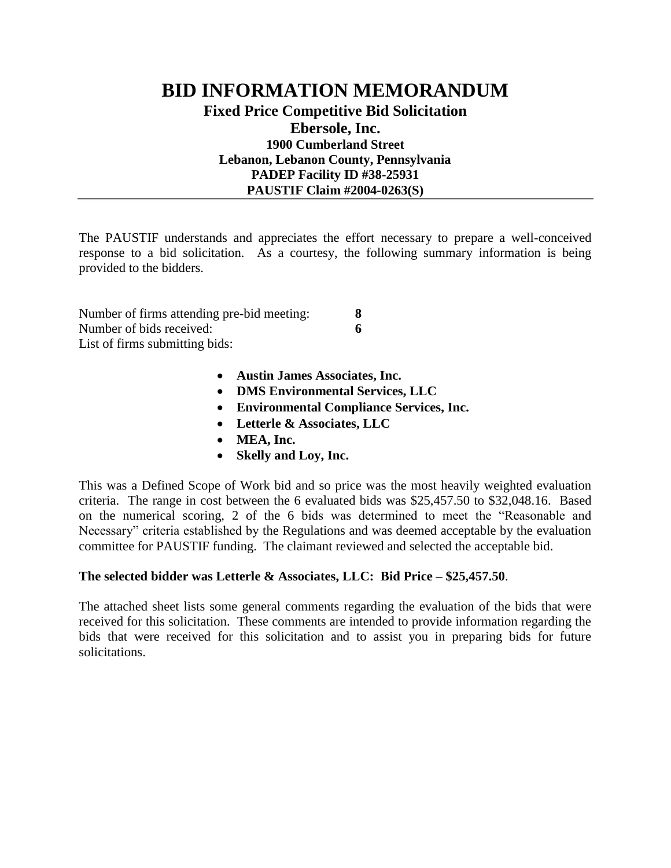## **BID INFORMATION MEMORANDUM Fixed Price Competitive Bid Solicitation Ebersole, Inc. 1900 Cumberland Street Lebanon, Lebanon County, Pennsylvania PADEP Facility ID #38-25931 PAUSTIF Claim #2004-0263(S)**

The PAUSTIF understands and appreciates the effort necessary to prepare a well-conceived response to a bid solicitation. As a courtesy, the following summary information is being provided to the bidders.

| Number of firms attending pre-bid meeting: | 8 |
|--------------------------------------------|---|
| Number of bids received:                   | 6 |
| List of firms submitting bids:             |   |

- **Austin James Associates, Inc.**
- **DMS Environmental Services, LLC**
- **Environmental Compliance Services, Inc.**
- **Letterle & Associates, LLC**
- **MEA, Inc.**
- **Skelly and Loy, Inc.**

This was a Defined Scope of Work bid and so price was the most heavily weighted evaluation criteria. The range in cost between the 6 evaluated bids was \$25,457.50 to \$32,048.16. Based on the numerical scoring, 2 of the 6 bids was determined to meet the "Reasonable and Necessary" criteria established by the Regulations and was deemed acceptable by the evaluation committee for PAUSTIF funding. The claimant reviewed and selected the acceptable bid.

## **The selected bidder was Letterle & Associates, LLC: Bid Price – \$25,457.50**.

The attached sheet lists some general comments regarding the evaluation of the bids that were received for this solicitation. These comments are intended to provide information regarding the bids that were received for this solicitation and to assist you in preparing bids for future solicitations.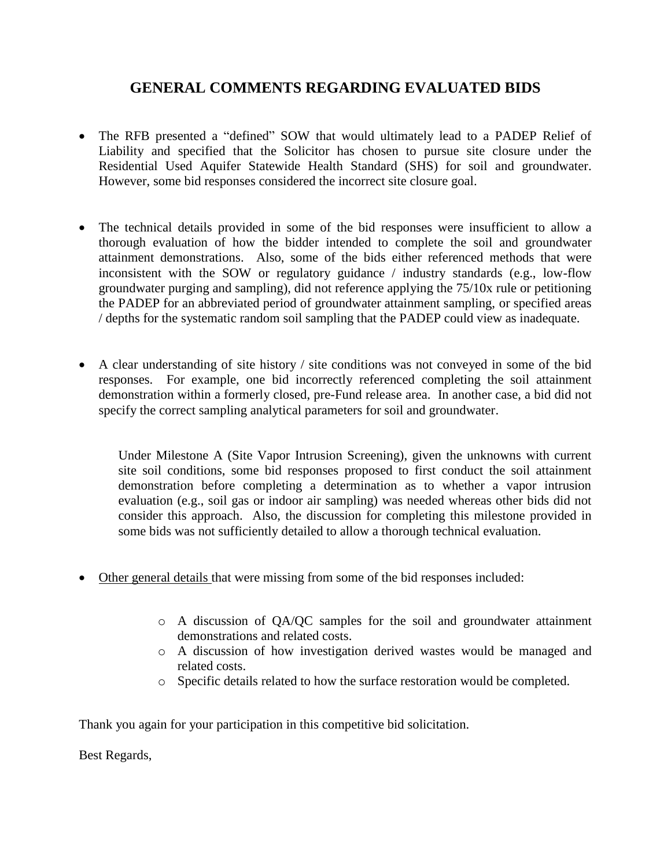## **GENERAL COMMENTS REGARDING EVALUATED BIDS**

- The RFB presented a "defined" SOW that would ultimately lead to a PADEP Relief of Liability and specified that the Solicitor has chosen to pursue site closure under the Residential Used Aquifer Statewide Health Standard (SHS) for soil and groundwater. However, some bid responses considered the incorrect site closure goal.
- The technical details provided in some of the bid responses were insufficient to allow a thorough evaluation of how the bidder intended to complete the soil and groundwater attainment demonstrations. Also, some of the bids either referenced methods that were inconsistent with the SOW or regulatory guidance / industry standards (e.g., low-flow groundwater purging and sampling), did not reference applying the 75/10x rule or petitioning the PADEP for an abbreviated period of groundwater attainment sampling, or specified areas / depths for the systematic random soil sampling that the PADEP could view as inadequate.
- A clear understanding of site history / site conditions was not conveyed in some of the bid responses. For example, one bid incorrectly referenced completing the soil attainment demonstration within a formerly closed, pre-Fund release area. In another case, a bid did not specify the correct sampling analytical parameters for soil and groundwater.

Under Milestone A (Site Vapor Intrusion Screening), given the unknowns with current site soil conditions, some bid responses proposed to first conduct the soil attainment demonstration before completing a determination as to whether a vapor intrusion evaluation (e.g., soil gas or indoor air sampling) was needed whereas other bids did not consider this approach. Also, the discussion for completing this milestone provided in some bids was not sufficiently detailed to allow a thorough technical evaluation.

- Other general details that were missing from some of the bid responses included:
	- o A discussion of QA/QC samples for the soil and groundwater attainment demonstrations and related costs.
	- o A discussion of how investigation derived wastes would be managed and related costs.
	- o Specific details related to how the surface restoration would be completed.

Thank you again for your participation in this competitive bid solicitation.

Best Regards,